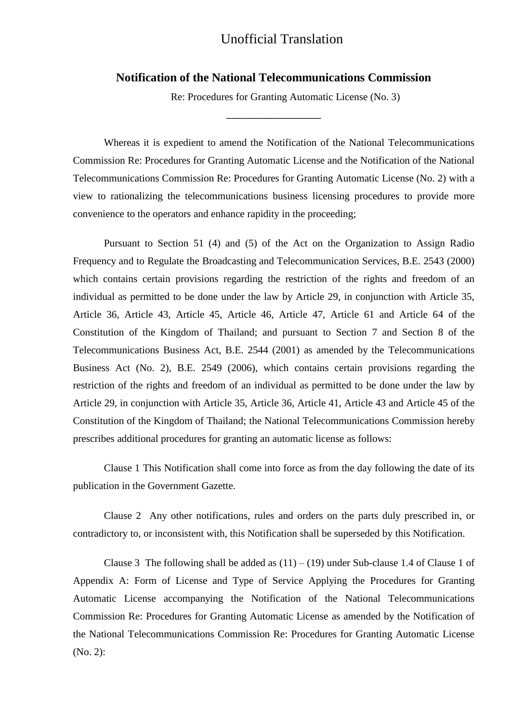## Unofficial Translation

## **Notification of the National Telecommunications Commission**

**\_\_\_\_\_\_\_\_\_\_\_\_\_\_\_\_\_\_\_\_**

Re: Procedures for Granting Automatic License (No. 3)

Whereas it is expedient to amend the Notification of the National Telecommunications Commission Re: Procedures for Granting Automatic License and the Notification of the National Telecommunications Commission Re: Procedures for Granting Automatic License (No. 2) with a view to rationalizing the telecommunications business licensing procedures to provide more convenience to the operators and enhance rapidity in the proceeding;

Pursuant to Section 51 (4) and (5) of the Act on the Organization to Assign Radio Frequency and to Regulate the Broadcasting and Telecommunication Services, B.E. 2543 (2000) which contains certain provisions regarding the restriction of the rights and freedom of an individual as permitted to be done under the law by Article 29, in conjunction with Article 35, Article 36, Article 43, Article 45, Article 46, Article 47, Article 61 and Article 64 of the Constitution of the Kingdom of Thailand; and pursuant to Section 7 and Section 8 of the Telecommunications Business Act, B.E. 2544 (2001) as amended by the Telecommunications Business Act (No. 2), B.E. 2549 (2006), which contains certain provisions regarding the restriction of the rights and freedom of an individual as permitted to be done under the law by Article 29, in conjunction with Article 35, Article 36, Article 41, Article 43 and Article 45 of the Constitution of the Kingdom of Thailand; the National Telecommunications Commission hereby prescribes additional procedures for granting an automatic license as follows:

Clause 1 This Notification shall come into force as from the day following the date of its publication in the Government Gazette.

Clause 2 Any other notifications, rules and orders on the parts duly prescribed in, or contradictory to, or inconsistent with, this Notification shall be superseded by this Notification.

Clause 3 The following shall be added as  $(11) - (19)$  under Sub-clause 1.4 of Clause 1 of Appendix A: Form of License and Type of Service Applying the Procedures for Granting Automatic License accompanying the Notification of the National Telecommunications Commission Re: Procedures for Granting Automatic License as amended by the Notification of the National Telecommunications Commission Re: Procedures for Granting Automatic License (No. 2):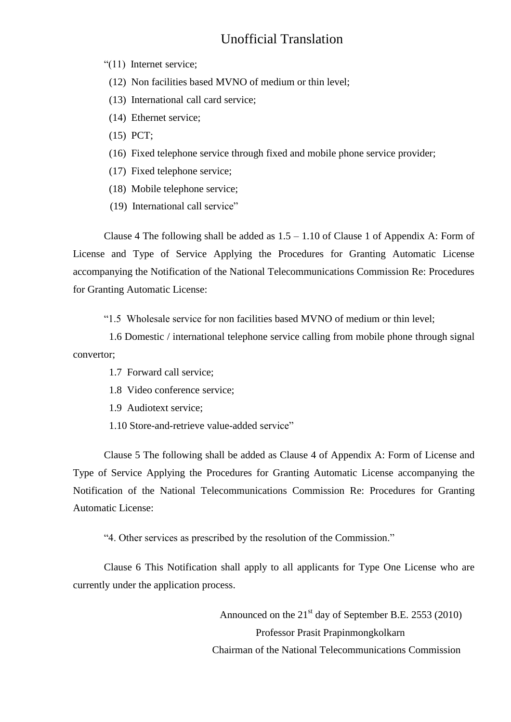## Unofficial Translation

"(11) Internet service;

- (12) Non facilities based MVNO of medium or thin level;
- (13) International call card service;
- (14) Ethernet service;
- (15) PCT;
- (16) Fixed telephone service through fixed and mobile phone service provider;
- (17) Fixed telephone service;
- (18) Mobile telephone service;
- (19) International call service"

Clause 4 The following shall be added as  $1.5 - 1.10$  of Clause 1 of Appendix A: Form of License and Type of Service Applying the Procedures for Granting Automatic License accompanying the Notification of the National Telecommunications Commission Re: Procedures for Granting Automatic License:

"1.5 Wholesale service for non facilities based MVNO of medium or thin level;

 1.6 Domestic / international telephone service calling from mobile phone through signal convertor;

- 1.7 Forward call service;
- 1.8 Video conference service;
- 1.9 Audiotext service;
- 1.10 Store-and-retrieve value-added service"

Clause 5 The following shall be added as Clause 4 of Appendix A: Form of License and Type of Service Applying the Procedures for Granting Automatic License accompanying the Notification of the National Telecommunications Commission Re: Procedures for Granting Automatic License:

"4. Other services as prescribed by the resolution of the Commission."

Clause 6 This Notification shall apply to all applicants for Type One License who are currently under the application process.

> Announced on the 21<sup>st</sup> day of September B.E. 2553 (2010) Professor Prasit Prapinmongkolkarn Chairman of the National Telecommunications Commission